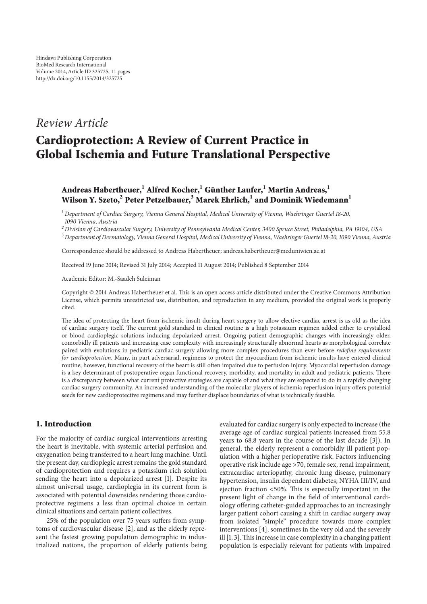# *Review Article*

# Cardioprotection: A Review of Current Practice in Global Ischemia and Future Translational Perspective

# Andreas Habertheuer,<sup>1</sup> Alfred Kocher,<sup>1</sup> Günther Laufer,<sup>1</sup> Martin Andreas,<sup>1</sup> Wilson Y. Szeto,<sup>2</sup> Peter Petzelbauer,<sup>3</sup> Marek Ehrlich,<sup>1</sup> and Dominik Wiedemann<sup>1</sup>

<sup>1</sup> *Department of Cardiac Surgery, Vienna General Hospital, Medical University of Vienna, Waehringer Guertel* 18*-*20*,* 1090 *Vienna, Austria*

<sup>2</sup> *Division of Cardiovascular Surgery, University of Pennsylvania Medical Center,* 3400 *Spruce Street, Philadelphia, PA* 19104*, USA*

<sup>3</sup> *Department of Dermatology, Vienna General Hospital, Medical University of Vienna, Waehringer Guertel*18*-*20*,*1090*Vienna, Austria*

Correspondence should be addressed to Andreas Habertheuer; andreas.habertheuer@meduniwien.ac.at

Received 19 June 2014; Revised 31 July 2014; Accepted 11 August 2014; Published 8 September 2014

Academic Editor: M.-Saadeh Suleiman

Copyright © 2014 Andreas Habertheuer et al. This is an open access article distributed under the Creative Commons Attribution License, which permits unrestricted use, distribution, and reproduction in any medium, provided the original work is properly cited.

The idea of protecting the heart from ischemic insult during heart surgery to allow elective cardiac arrest is as old as the idea of cardiac surgery itself. The current gold standard in clinical routine is a high potassium regimen added either to crystalloid or blood cardioplegic solutions inducing depolarized arrest. Ongoing patient demographic changes with increasingly older, comorbidly ill patients and increasing case complexity with increasingly structurally abnormal hearts as morphological correlate paired with evolutions in pediatric cardiac surgery allowing more complex procedures than ever before *redefine requirements for cardioprotection*. Many, in part adversarial, regimens to protect the myocardium from ischemic insults have entered clinical routine; however, functional recovery of the heart is still often impaired due to perfusion injury. Myocardial reperfusion damage is a key determinant of postoperative organ functional recovery, morbidity, and mortality in adult and pediatric patients. There is a discrepancy between what current protective strategies are capable of and what they are expected to do in a rapidly changing cardiac surgery community. An increased understanding of the molecular players of ischemia reperfusion injury offers potential seeds for new cardioprotective regimens and may further displace boundaries of what is technically feasible.

# 1. Introduction

For the majority of cardiac surgical interventions arresting the heart is inevitable, with systemic arterial perfusion and oxygenation being transferred to a heart lung machine. Until the present day, cardioplegic arrest remains the gold standard of cardioprotection and requires a potassium rich solution sending the heart into a depolarized arrest [1]. Despite its almost universal usage, cardioplegia in its current form is associated with potential downsides rendering those cardioprotective regimens a less than optimal choice in certain clinical situations and certain patient collectives.

 $25%$  of the population over 75 years suffers from symptoms of cardiovascular disease [2], and as the elderly represent the fastest growing population demographic in industrialized nations, the proportion of elderly patients being evaluated for cardiac surgery is only expected to increase (the average age of cardiac surgical patients increased from 55.8 years to 68.8 years in the course of the last decade [3]). In general, the elderly represent a comorbidly ill patient population with a higher perioperative risk. Factors influencing operative risk include age >70, female sex, renal impairment, extracardiac arteriopathy, chronic lung disease, pulmonary hypertension, insulin dependent diabetes, NYHA III/IV, and ejection fraction  $\langle 50\% \rangle$ . This is especially important in the present light of change in the field of interventional cardiology offering catheter-guided approaches to an increasingly larger patient cohort causing a shift in cardiac surgery away from isolated "simple" procedure towards more complex interventions [4], sometimes in the very old and the severely ill  $[1, 3]$ . This increase in case complexity in a changing patient population is especially relevant for patients with impaired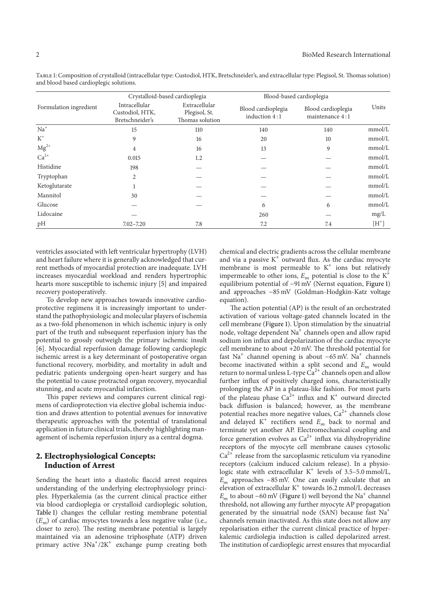|                        |                                                     | Crystalloid-based cardioplegia                    | Blood-based cardioplegia            |                                       |         |
|------------------------|-----------------------------------------------------|---------------------------------------------------|-------------------------------------|---------------------------------------|---------|
| Formulation ingredient | Intracellular<br>Custodiol, HTK,<br>Bretschneider's | Extracellular<br>Plegisol, St.<br>Thomas solution | Blood cardioplegia<br>induction 4:1 | Blood cardioplegia<br>maintenance 4:1 | Units   |
| $Na+$                  | 15                                                  | 110                                               | 140                                 | 140                                   | mmol/L  |
| $K^+$                  | 9                                                   | 16                                                | 20                                  | 10                                    | mmol/L  |
| $Mg^{2+}$              | 4                                                   | 16                                                | 13                                  | 9                                     | mmol/L  |
| $Ca2+$                 | 0.015                                               | 1.2                                               |                                     |                                       | mmol/L  |
| Histidine              | 198                                                 |                                                   |                                     |                                       | mmol/L  |
| Tryptophan             | 2                                                   |                                                   |                                     |                                       | mmol/L  |
| Ketoglutarate          |                                                     |                                                   |                                     |                                       | mmol/L  |
| Mannitol               | 30                                                  |                                                   |                                     |                                       | mmol/L  |
| Glucose                |                                                     |                                                   | 6                                   | 6                                     | mmol/L  |
| Lidocaine              |                                                     |                                                   | 260                                 |                                       | mg/L    |
| pH                     | $7.02 - 7.20$                                       | 7.8                                               | 7.2                                 | 7.4                                   | $[H^+]$ |

ventricles associated with left ventricular hypertrophy (LVH) and heart failure where it is generally acknowledged that current methods of myocardial protection are inadequate. LVH increases myocardial workload and renders hypertrophic hearts more susceptible to ischemic injury [5] and impaired recovery postoperatively.

To develop new approaches towards innovative cardioprotective regimens it is increasingly important to understand the pathophysiologic and molecular players of ischemia as a two-fold phenomenon in which ischemic injury is only part of the truth and subsequent reperfusion injury has the potential to grossly outweigh the primary ischemic insult [6]. Myocardial reperfusion damage following cardioplegic ischemic arrest is a key determinant of postoperative organ functional recovery, morbidity, and mortality in adult and pediatric patients undergoing open-heart surgery and has the potential to cause protracted organ recovery, myocardial stunning, and acute myocardial infarction.

This paper reviews and compares current clinical regimens of cardioprotection via elective global ischemia induction and draws attention to potential avenues for innovative therapeutic approaches with the potential of translational application in future clinical trials, thereby highlighting management of ischemia reperfusion injury as a central dogma.

### 2. Electrophysiological Concepts: Induction of Arrest

Sending the heart into a diastolic flaccid arrest requires understanding of the underlying electrophysiology principles. Hyperkalemia (as the current clinical practice either via blood cardioplegia or crystalloid cardioplegic solution, Table 1) changes the cellular resting membrane potential  $(E_m)$  of cardiac myocytes towards a less negative value (i.e., closer to zero). The resting membrane potential is largely maintained via an adenosine triphosphate (ATP) driven primary active  $3Na^{+}/2K^{+}$  exchange pump creating both

chemical and electric gradients across the cellular membrane and via a passive  $K^+$  outward flux. As the cardiac myocyte membrane is most permeable to  $K^+$  ions but relatively impermeable to other ions,  $E_m$  potential is close to the  $K^+$ equilibrium potential of −91 mV (Nernst equation, Figure 1) and approaches −85 mV (Goldman-Hodgkin-Katz voltage equation).

The action potential (AP) is the result of an orchestrated activation of various voltage-gated channels located in the cell membrane (Figure 1). Upon stimulation by the sinuatrial node, voltage dependent Na<sup>+</sup> channels open and allow rapid sodium ion influx and depolarization of the cardiac myocyte cell membrane to about  $+20$  mV. The threshold potential for fast Na<sup>+</sup> channel opening is about  $-65$  mV. Na<sup>+</sup> channels become inactivated within a split second and  $E_m$  would return to normal unless L-type  $\hat{Ca}^{2+}$  channels open and allow further influx of positively charged ions, characteristically prolonging the AP in a plateau-like fashion. For most parts of the plateau phase  $Ca^{2+}$  influx and K<sup>+</sup> outward directed back diffusion is balanced; however, as the membrane potential reaches more negative values,  $Ca<sup>2+</sup>$  channels close and delayed  $K^+$  rectifiers send  $E_m$  back to normal and terminate yet another AP. Electromechanical coupling and force generation evolves as  $Ca^{2+}$  influx via dihydropyridine receptors of the myocyte cell membrane causes cytosolic  $Ca^{2+}$  release from the sarcoplasmic reticulum via ryanodine receptors (calcium induced calcium release). In a physiologic state with extracellular  $K^+$  levels of 3.5–5.0 mmol/L,  $E_m$  approaches −85 mV. One can easily calculate that an elevation of extracellular  $\mathrm{K}^+$  towards 16.2 mmol/L decreases  $E_m$  to about −60 mV (Figure 1) well beyond the Na<sup>+</sup> channel threshold, not allowing any further myocyte AP propagation generated by the sinuatrial node (SAN) because fast Na<sup>+</sup> channels remain inactivated. As this state does not allow any repolarisation either the current clinical practice of hyperkalemic cardiolegia induction is called depolarized arrest. The institution of cardioplegic arrest ensures that myocardial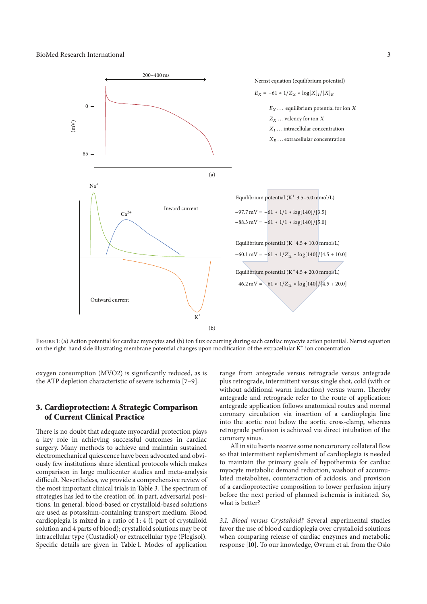

FIGURE 1: (a) Action potential for cardiac myocytes and (b) ion flux occurring during each cardiac myocyte action potential. Nernst equation on the right-hand side illustrating membrane potential changes upon modification of the extracellular K<sup>+</sup> ion concentration.

oxygen consumption (MVO2) is significantly reduced, as is the ATP depletion characteristic of severe ischemia [7–9].

# 3. Cardioprotection: A Strategic Comparison of Current Clinical Practice

There is no doubt that adequate myocardial protection plays a key role in achieving successful outcomes in cardiac surgery. Many methods to achieve and maintain sustained electromechanical quiescence have been advocated and obviously few institutions share identical protocols which makes comparison in large multicenter studies and meta-analysis difficult. Nevertheless, we provide a comprehensive review of the most important clinical trials in Table 3. The spectrum of strategies has led to the creation of, in part, adversarial positions. In general, blood-based or crystalloid-based solutions are used as potassium-containing transport medium. Blood cardioplegia is mixed in a ratio of 1: 4 (1 part of crystalloid solution and 4 parts of blood); crystalloid solutions may be of intracellular type (Custadiol) or extracellular type (Plegisol). Specific details are given in Table 1. Modes of application

range from antegrade versus retrograde versus antegrade plus retrograde, intermittent versus single shot, cold (with or without additional warm induction) versus warm. Thereby antegrade and retrograde refer to the route of application: antegrade application follows anatomical routes and normal coronary circulation via insertion of a cardioplegia line into the aortic root below the aortic cross-clamp, whereas retrograde perfusion is achieved via direct intubation of the coronary sinus.

All in situ hearts receive some noncoronary collateral flow so that intermittent replenishment of cardioplegia is needed to maintain the primary goals of hypothermia for cardiac myocyte metabolic demand reduction, washout of accumulated metabolites, counteraction of acidosis, and provision of a cardioprotective composition to lower perfusion injury before the next period of planned ischemia is initiated. So, what is better?

3*.*1*. Blood versus Crystalloid?* Several experimental studies favor the use of blood cardioplegia over crystalloid solutions when comparing release of cardiac enzymes and metabolic response [10]. To our knowledge, Øvrum et al. from the Oslo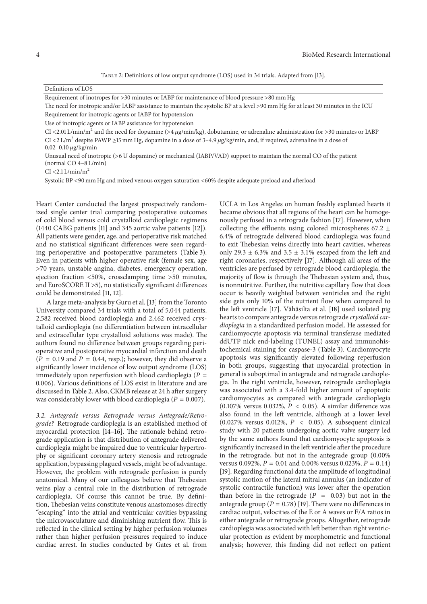TABLE 2: Definitions of low output syndrome (LOS) used in 34 trials. Adapted from [13].

Definitions of LOS

Requirement of inotropes for >30 minutes or IABP for maintenance of blood pressure >80 mm Hg

The need for inotropic and/or IABP assistance to maintain the systolic BP at a level >90 mm Hg for at least 30 minutes in the ICU Requirement for inotropic agents or IABP for hypotension

Use of inotropic agents or IABP assistance for hypotension

CI <2.01 L/min/m<sup>2</sup> and the need for dopamine (>4  $\mu$ g/min/kg), dobutamine, or adrenaline administration for >30 minutes or IABP CI <2 L/m<sup>2</sup> despite PAWP ≥15 mm Hg, dopamine in a dose of 3-4.9  $\mu$ g/kg/min, and, if required, adrenaline in a dose of  $0.02 - 0.10 \mu g/kg/min$ 

Unusual need of inotropic (>6 U dopamine) or mechanical (IABP/VAD) support to maintain the normal CO of the patient (normal CO 4–8 L/min)

 $CI < 2.1$  L/min/m<sup>2</sup>

Systolic BP <90 mm Hg and mixed venous oxygen saturation <60% despite adequate preload and afterload

Heart Center conducted the largest prospectively randomized single center trial comparing postoperative outcomes of cold blood versus cold crystalloid cardioplegic regimens (1440 CABG patients [11] and 345 aortic valve patients [12]). All patients were gender, age, and perioperative risk matched and no statistical significant differences were seen regarding perioperative and postoperative parameters (Table 3). Even in patients with higher operative risk (female sex, age >70 years, unstable angina, diabetes, emergency operation, ejection fraction <50%, crossclamping time >50 minutes, and EuroSCORE II  $>5$ ), no statistically significant differences could be demonstrated [11, 12].

A large meta-analysis by Guru et al. [13] from the Toronto University compared 34 trials with a total of 5,044 patients. 2,582 received blood cardioplegia and 2,462 received crystalloid cardioplegia (no differentiation between intracellular and extracellular type crystalloid solutions was made). The authors found no difference between groups regarding perioperative and postoperative myocardial infarction and death  $(P = 0.19$  and  $P = 0.44$ , resp.); however, they did observe a significantly lower incidence of low output syndrome (LOS) immediately upon reperfusion with blood cardioplegia ( $P =$ 0.006). Various definitions of LOS exist in literature and are discussed in Table 2. Also, CKMB release at 24 h after surgery was considerably lower with blood cardioplegia ( $P = 0.007$ ).

3*.*2*. Antegrade versus Retrograde versus Antegrade/Retrograde?* Retrograde cardioplegia is an established method of myocardial protection [14-16]. The rationale behind retrograde application is that distribution of antegrade delivered cardioplegia might be impaired due to ventricular hypertrophy or significant coronary artery stenosis and retrograde application, bypassing plagued vessels, might be of advantage. However, the problem with retrograde perfusion is purely anatomical. Many of our colleagues believe that Thebesian veins play a central role in the distribution of retrograde cardioplegia. Of course this cannot be true. By definition, Thebesian veins constitute venous anastomoses directly "escaping" into the atrial and ventricular cavities bypassing the microvasculature and diminishing nutrient flow. This is reflected in the clinical setting by higher perfusion volumes rather than higher perfusion pressures required to induce cardiac arrest. In studies conducted by Gates et al. from UCLA in Los Angeles on human freshly explanted hearts it became obvious that all regions of the heart can be homogenously perfused in a retrograde fashion [17]. However, when collecting the effluents using colored microspheres 67.2  $\pm$ 6.4% of retrograde delivered blood cardioplegia was found to exit Thebesian veins directly into heart cavities, whereas only 29.3  $\pm$  6.3% and 3.5  $\pm$  3.1% escaped from the left and right coronaries, respectively [17]. Although all areas of the ventricles are perfused by retrograde blood cardioplegia, the majority of flow is through the Thebesian system and, thus, is nonnutritive. Further, the nutritive capillary flow that does occur is heavily weighted between ventricles and the right side gets only 10% of the nutrient flow when compared to the left ventricle [17]. Vähäsilta et al. [18] used isolated pig hearts to compare antegrade versus retrograde *crystalloid cardioplegia* in a standardized perfusion model. He assessed for cardiomyocyte apoptosis via terminal transferase mediated ddUTP nick end-labeling (TUNEL) assay and immunohistochemical staining for caspase-3 (Table 3). Cardiomyocyte apoptosis was significantly elevated following reperfusion in both groups, suggesting that myocardial protection in general is suboptimal in antegrade and retrograde cardioplegia. In the right ventricle, however, retrograde cardioplegia was associated with a 3.4-fold higher amount of apoptotic cardiomyocytes as compared with antegrade cardioplegia (0.107% versus 0.032%,  $\overline{P}$  < 0.05). A similar difference was also found in the left ventricle, although at a lower level (0.027% versus 0.012%,  $P \leq 0.05$ ). A subsequent clinical study with 20 patients undergoing aortic valve surgery led by the same authors found that cardiomyocyte apoptosis is significantly increased in the left ventricle after the procedure in the retrograde, but not in the antegrade group (0.00% versus 0.092%,  $P = 0.01$  and 0.00% versus 0.023%,  $P = 0.14$ ) [19]. Regarding functional data the amplitude of longitudinal systolic motion of the lateral mitral annulus (an indicator of systolic contractile function) was lower after the operation than before in the retrograde  $(P = 0.03)$  but not in the antegrade group ( $P = 0.78$ ) [19]. There were no differences in cardiac output, velocities of the E or A waves or E/A ratios in either antegrade or retrograde groups. Altogether, retrograde cardioplegia was associated with left better than right ventricular protection as evident by morphometric and functional analysis; however, this finding did not reflect on patient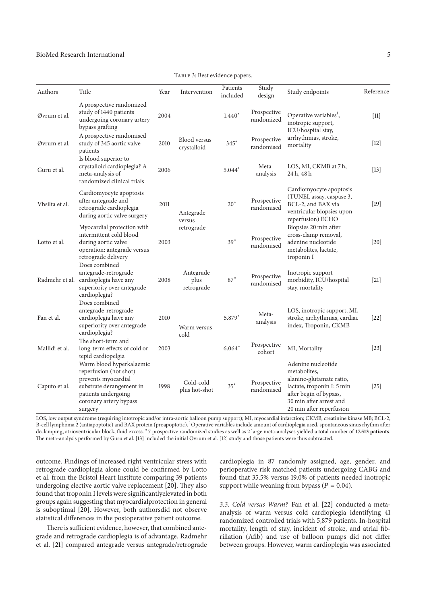#### BioMed Research International 5

| Authors        | Title                                                                                                                                                             | Year | Intervention                       | Patients<br>included | Study<br>design           | Study endpoints                                                                                                                                                                                                                           | Reference         |
|----------------|-------------------------------------------------------------------------------------------------------------------------------------------------------------------|------|------------------------------------|----------------------|---------------------------|-------------------------------------------------------------------------------------------------------------------------------------------------------------------------------------------------------------------------------------------|-------------------|
| Øvrum et al.   | A prospective randomized<br>study of 1440 patients<br>undergoing coronary artery<br>bypass grafting                                                               | 2004 |                                    | $1.440*$             | Prospective<br>randomized | Operative variables <sup>1</sup> ,<br>inotropic support,<br>ICU/hospital stay,<br>arrhythmias, stroke,<br>mortality                                                                                                                       | $[11]$            |
| Øvrum et al.   | A prospective randomised<br>study of 345 aortic valve<br>patients                                                                                                 | 2010 | <b>Blood versus</b><br>crystalloid | $345*$               | Prospective<br>randomised |                                                                                                                                                                                                                                           | $[12]$            |
| Guru et al.    | Is blood superior to<br>crystalloid cardioplegia? A<br>meta-analysis of<br>randomized clinical trials                                                             | 2006 |                                    | $5.044*$             | Meta-<br>analysis         | LOS, MI, CKMB at 7 h,<br>24 h, 48 h                                                                                                                                                                                                       | $[13]$            |
| Vhsilta et al. | Cardiomy cyte apoptosis<br>after antegrade and<br>retrograde cardioplegia<br>during aortic valve surgery                                                          | 2011 | Antegrade<br>versus                | $20*$                | Prospective<br>randomised | Cardiomyocyte apoptosis<br>(TUNEL assay, caspase 3,<br>BCL-2, and BAX via<br>ventricular biopsies upon<br>reperfusion) ECHO<br>Biopsies 20 min after<br>cross-clamp removal,<br>adenine nucleotide<br>metabolites, lactate,<br>troponin I | $[19]$            |
| Lotto et al.   | Myocardial protection with<br>intermittent cold blood<br>during aortic valve<br>operation: antegrade versus<br>retrograde delivery                                | 2003 | retrograde                         | $39*$                | Prospective<br>randomised |                                                                                                                                                                                                                                           | $\left[20\right]$ |
| Radmehr et al. | Does combined<br>antegrade-retrograde<br>cardioplegia have any<br>superiority over antegrade<br>cardioplegia?                                                     | 2008 | Antegrade<br>plus<br>retrograde    | $87*$                | Prospective<br>randomised | Inotropic support<br>morbidity, ICU/hospital<br>stay, mortality                                                                                                                                                                           | $[21]$            |
| Fan et al.     | Does combined<br>antegrade-retrograde<br>cardioplegia have any<br>superiority over antegrade<br>cardioplegia?                                                     | 2010 | Warm versus<br>cold                | 5.879*               | Meta-<br>analysis         | LOS, inotropic support, MI,<br>stroke, arrhythmias, cardiac<br>index, Troponin, CKMB                                                                                                                                                      | $[22]$            |
| Mallidi et al. | The short-term and<br>long-term effects of cold or<br>tepid cardiopelgia                                                                                          | 2003 |                                    | $6.064*$             | Prospective<br>cohort     | MI, Mortality                                                                                                                                                                                                                             | $[23]$            |
| Caputo et al.  | Warm blood hyperkalaemic<br>reperfusion (hot shot)<br>prevents myocardial<br>substrate derangement in<br>patients undergoing<br>coronary artery bypass<br>surgery | 1998 | Cold-cold<br>plus hot-shot         | $35*$                | Prospective<br>randomised | Adenine nucleotide<br>metabolites,<br>alanine-glutamate ratio,<br>lactate, troponin I: 5 min<br>after begin of bypass,<br>30 min after arrest and<br>20 min after reperfusion                                                             | $[25]$            |

TABLE 3: Best evidence papers.

LOS, low output syndrome (requiring intotropic and/or intra-aortic balloon pump support); MI, myocardial infarction; CKMB, creatinine kinase MB; BCL-2, B-cell lymphoma 2 (antiapoptotic) and BAX protein (proapoptotic). <sup>1</sup>Operative variables include amount of cardioplegia used, spontaneous sinus rhythm after declamping, atrioventricular block, fluid excess. \*7 prospective randomized studies as well as 2 large meta-analyses yielded a total number of 17.513 patients. The meta-analysis performed by Guru et al. [13] included the initial Ovrum et al. [12] study and those patients were thus subtracted.

outcome. Findings of increased right ventricular stress with retrograde cardioplegia alone could be confirmed by Lotto et al. from the Bristol Heart Institute comparing 39 patients undergoing elective aortic valve replacement  $[20]$ . They also found that troponin I levels were significantlyelevated in both groups again suggesting that myocardialprotection in general is suboptimal [20]. However, both authorsdid not observe statistical differences in the postoperative patient outcome.

There is sufficient evidence, however, that combined antegrade and retrograde cardioplegia is of advantage. Radmehr et al. [21] compared antegrade versus antegrade/retrograde cardioplegia in 87 randomly assigned, age, gender, and perioperative risk matched patients undergoing CABG and found that 35.5% versus 19.0% of patients needed inotropic support while weaning from bypass ( $P = 0.04$ ).

3*.*3*. Cold versus Warm?* Fan et al. [22] conducted a metaanalysis of warm versus cold cardioplegia identifying 41 randomized controlled trials with 5,879 patients. In-hospital mortality, length of stay, incident of stroke, and atrial fibrillation (Afib) and use of balloon pumps did not differ between groups. However, warm cardioplegia was associated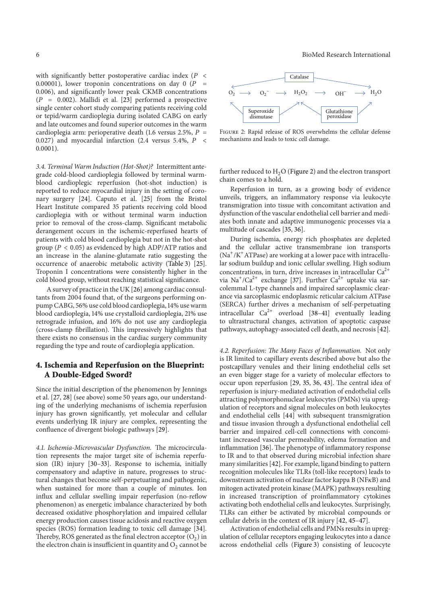with significantly better postoperative cardiac index  $(P \leq$ 0.00001), lower troponin concentrations on day 0 ( $P =$ 0.006), and significantly lower peak CKMB concentrations  $(P = 0.002)$ . Mallidi et al. [23] performed a prospective single center cohort study comparing patients receiving cold or tepid/warm cardioplegia during isolated CABG on early and late outcomes and found superior outcomes in the warm cardioplegia arm: perioperative death (1.6 versus 2.5%,  $P =$ 0.027) and myocardial infarction (2.4 versus 5.4%,  $P \leq$ 0.0001).

3*.*4*. Terminal Warm Induction (Hot-Shot)?* Intermittent antegrade cold-blood cardioplegia followed by terminal warmblood cardioplegic reperfusion (hot-shot induction) is reported to reduce myocardial injury in the setting of coronary surgery [24]. Caputo et al. [25] from the Bristol Heart Institute compared 35 patients receiving cold blood cardioplegia with or without terminal warm induction prior to removal of the cross-clamp. Significant metabolic derangement occurs in the ischemic-reperfused hearts of patients with cold blood cardioplegia but not in the hot-shot group ( $P < 0.05$ ) as evidenced by high ADP/ATP ratios and an increase in the alanine-glutamate ratio suggesting the occurrence of anaerobic metabolic activity (Table 3) [25]. Troponin I concentrations were consistently higher in the cold blood group, without reaching statistical significance.

A survey of practice in the UK [26] among cardiac consultants from 2004 found that, of the surgeons performing onpump CABG, 56% use cold blood cardioplegia,14% use warm blood cardioplegia, 14% use crystalloid cardioplegia, 21% use retrograde infusion, and 16% do not use any cardioplegia (cross-clamp fibrillation). This impressively highlights that there exists no consensus in the cardiac surgery community regarding the type and route of cardioplegia application.

#### 4. Ischemia and Reperfusion on the Blueprint: A Double-Edged Sword?

Since the initial description of the phenomenon by Jennings et al. [27, 28] (see above) some 50 years ago, our understanding of the underlying mechanisms of ischemia reperfusion injury has grown significantly, yet molecular and cellular events underlying IR injury are complex, representing the confluence of divergent biologic pathways [29].

4.1. Ischemia-Microvascular Dysfunction. The microcirculation represents the major target site of ischemia reperfusion (IR) injury [30–33]. Response to ischemia, initially compensatory and adaptive in nature, progresses to structural changes that become self-perpetuating and pathogenic, when sustained for more than a couple of minutes. Ion influx and cellular swelling impair reperfusion (no-reflow phenomenon) as energetic imbalance characterized by both decreased oxidative phosphorylation and impaired cellular energy production causes tissue acidosis and reactive oxygen species (ROS) formation leading to toxic cell damage [34]. Thereby, ROS generated as the final electron acceptor  $(O_2)$  in the electron chain is insufficient in quantity and  $O_2$  cannot be





Figure 2: Rapid release of ROS overwhelms the cellular defense mechanisms and leads to toxic cell damage.

further reduced to  $H<sub>2</sub>O$  (Figure 2) and the electron transport chain comes to a hold.

Reperfusion in turn, as a growing body of evidence unveils, triggers, an inflammatory response via leukocyte transmigration into tissue with concomitant activation and dysfunction of the vascular endothelial cell barrier and mediates both innate and adaptive immunogenic processes via a multitude of cascades [35, 36].

During ischemia, energy rich phosphates are depleted and the cellular active transmembrane ion transports  $(Na^+/K^+ATPase)$  are working at a lower pace with intracellular sodium buildup and ionic cellular swelling. High sodium concentrations, in turn, drive increases in intracellular  $Ca^{2+}$ via  $\text{Na}^{\text{+}}/\text{Ca}^{2+}$  exchange [37]. Further  $\text{Ca}^{2+}$  uptake via sarcolemmal L-type channels and impaired sarcoplasmic clearance via sarcoplasmic endoplasmic reticular calcium ATPase (SERCA) further drives a mechanism of self-perpetuating intracellular  $Ca^{2+}$  overload [38-41] eventually leading to ultrastructural changes, activation of apoptotic caspase pathways, autophagy-associated cell death, and necrosis [42].

4.2. Reperfusion: The Many Faces of Inflammation. Not only is IR limited to capillary events described above but also the postcapillary venules and their lining endothelial cells set an even bigger stage for a variety of molecular effectors to occur upon reperfusion  $[29, 35, 36, 43]$ . The central idea of reperfusion is injury-mediated activation of endothelial cells attracting polymorphonuclear leukocytes (PMNs) via upregulation of receptors and signal molecules on both leukocytes and endothelial cells [44] with subsequent transmigration and tissue invasion through a dysfunctional endothelial cell barrier and impaired cell-cell connections with concomitant increased vascular permeability, edema formation and inflammation [36]. The phenotype of inflammatory response to IR and to that observed during microbial infection share many similarities [42]. For example, ligand binding to pattern recognition molecules like TLRs (toll-like receptors) leads to downstream activation of nuclear factor kappa B ( $NFRB$ ) and mitogen activated protein kinase (MAPK) pathways resulting in increased transcription of proinflammatory cytokines activating both endothelial cells and leukocytes. Surprisingly, TLRs can either be activated by microbial compounds or cellular debris in the context of IR injury [42, 45–47].

Activation of endothelial cells and PMNs results in upregulation of cellular receptors engaging leukocytes into a dance across endothelial cells (Figure 3) consisting of leucocyte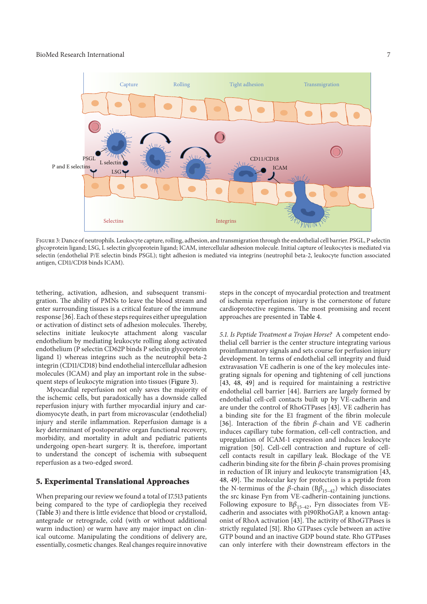

Figure 3: Dance of neutrophils. Leukocyte capture, rolling, adhesion, and transmigration through the endothelial cell barrier. PSGL, P selectin glycoprotein ligand; LSG, L selectin glycoprotein ligand; ICAM, intercellular adhesion molecule. Initial capture of leukocytes is mediated via selectin (endothelial P/E selectin binds PSGL); tight adhesion is mediated via integrins (neutrophil beta-2, leukocyte function associated antigen, CD11/CD18 binds ICAM).

tethering, activation, adhesion, and subsequent transmigration. The ability of PMNs to leave the blood stream and enter surrounding tissues is a critical feature of the immune response [36]. Each of these steps requires either upregulation or activation of distinct sets of adhesion molecules. Thereby, selectins initiate leukocyte attachment along vascular endothelium by mediating leukocyte rolling along activated endothelium (P selectin CD62P binds P selectin glycoprotein ligand 1) whereas integrins such as the neutrophil beta-2 integrin (CD11/CD18) bind endothelial intercellular adhesion molecules (ICAM) and play an important role in the subsequent steps of leukocyte migration into tissues (Figure 3).

Myocardial reperfusion not only saves the majority of the ischemic cells, but paradoxically has a downside called reperfusion injury with further myocardial injury and cardiomyocyte death, in part from microvascular (endothelial) injury and sterile inflammation. Reperfusion damage is a key determinant of postoperative organ functional recovery, morbidity, and mortality in adult and pediatric patients undergoing open-heart surgery. It is, therefore, important to understand the concept of ischemia with subsequent reperfusion as a two-edged sword.

#### 5. Experimental Translational Approaches

When preparing our review we found a total of 17.513 patients being compared to the type of cardioplegia they received (Table 3) and there is little evidence that blood or crystalloid, antegrade or retrograde, cold (with or without additional warm induction) or warm have any major impact on clinical outcome. Manipulating the conditions of delivery are, essentially, cosmetic changes. Real changes require innovative

steps in the concept of myocardial protection and treatment of ischemia reperfusion injury is the cornerstone of future cardioprotective regimens. The most promising and recent approaches are presented in Table 4.

5*.*1*. Is Peptide Treatment a Trojan Horse?* A competent endothelial cell barrier is the center structure integrating various proinflammatory signals and sets course for perfusion injury development. In terms of endothelial cell integrity and fluid extravasation VE cadherin is one of the key molecules integrating signals for opening and tightening of cell junctions [43, 48, 49] and is required for maintaining a restrictive endothelial cell barrier [44]. Barriers are largely formed by endothelial cell-cell contacts built up by VE-cadherin and are under the control of RhoGTPases [43]. VE cadherin has a binding site for the E1 fragment of the fibrin molecule [36]. Interaction of the fibrin  $\beta$ -chain and VE cadherin induces capillary tube formation, cell-cell contraction, and upregulation of ICAM-1 expression and induces leukocyte migration [50]. Cell-cell contraction and rupture of cellcell contacts result in capillary leak. Blockage of the VE cadherin binding site for the fibrin  $\beta$ -chain proves promising in reduction of IR injury and leukocyte transmigration [43, 48, 49]. The molecular key for protection is a peptide from the N-terminus of the  $\beta$ -chain (B $\beta_{15-42}$ ) which dissociates the src kinase Fyn from VE-cadherin-containing junctions. Following exposure to  $B\beta_{15-42}$ , Fyn dissociates from VEcadherin and associates with p190RhoGAP, a known antagonist of RhoA activation [43]. The activity of RhoGTPases is strictly regulated [51]. Rho GTPases cycle between an active GTP bound and an inactive GDP bound state. Rho GTPases can only interfere with their downstream effectors in the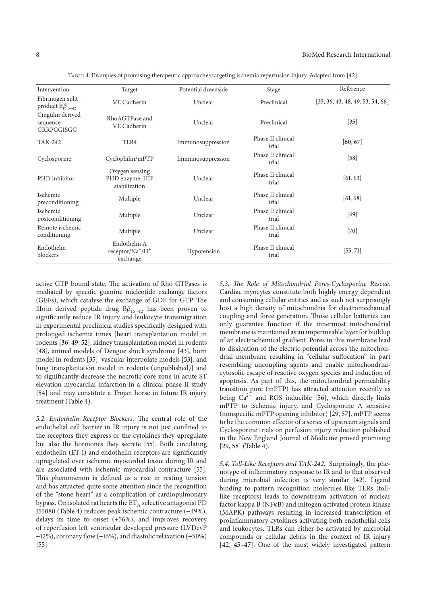$[55, 71]$ 

| Intervention                                 | Target                                             | Potential downside | Stage                      | Reference                        |
|----------------------------------------------|----------------------------------------------------|--------------------|----------------------------|----------------------------------|
| Fibrinogen split<br>product $B\beta_{15-42}$ | VE Cadherin                                        | Unclear            | Preclinical                | [35, 36, 43, 48, 49, 53, 54, 66] |
| Cingulin derived<br>sequence<br>GRRPGGISGG   | RhoAGTPase and<br>VE Cadherin                      | Unclear            | Preclinical                | $[35]$                           |
| TAK-242                                      | TLR4                                               | Immunosuppression  | Phase II clinical<br>trial | [60, 67]                         |
| Cyclosporine                                 | Cyclophilin/mPTP                                   | Immunosuppression  | Phase II clinical<br>trial | $[58]$                           |
| PHD inhibitor                                | Oxygen sensing<br>PHD enzyme, HIF<br>stabilization | Unclear            | Phase II clinical<br>trial | [61, 63]                         |
| Ischemic<br>preconditioning                  | Multiple                                           | Unclear            | Phase II clinical<br>trial | [61, 68]                         |
| Ischemic<br>postconditioning                 | Multiple                                           | Unclear            | Phase II clinical<br>trial | $[69]$                           |
| Remote ischemic<br>conditioning              | Multiple                                           | Unclear            | Phase II clinical<br>trial | $[70]$                           |
| .                                            | Endothelin A                                       |                    |                            |                                  |

Hypotension Phase II clinical<br>trial

Table 4: Examples of promising therapeutic approaches targeting ischemia reperfusion injury. Adapted from [42].

active GTP bound state. The activation of Rho GTPases is mediated by specific guanine nucleotide exchange factors (GEFs), which catalyse the exchange of GDP for GTP. The fibrin derived peptide drug  $B\beta_{15-42}$  has been proven to significantly reduce IR injury and leukocyte transmigration in experimental preclinical studies specifically designed with prolonged ischemia times [heart transplantation model in rodents [36, 49, 52], kidney transplantation model in rodents [48], animal models of Dengue shock syndrome [43], burn model in rodents [35], vascular interpolate models [53], and lung transplantation model in rodents (unpublished)] and to significantly decrease the necrotic core zone in acute ST elevation myocardial infarction in a clinical phase II study [54] and may constitute a Trojan horse in future IR injury treatment (Table 4).

receptor/Na<sup>+</sup>/H<sup>+</sup> exchange

5.2. Endothelin Receptor Blockers. The central role of the endothelial cell barrier in IR injury is not just confined to the receptors they express or the cytokines they upregulate but also the hormones they secrete [55]. Both circulating endothelin (ET-1) and endothelin receptors are significantly upregulated over ischemic myocardial tissue during IR and are associated with ischemic myocardial contracture [55]. This phenomenon is defined as a rise in resting tension and has attracted quite some attention since the recognition of the "stone heart" as a complication of cardiopulmonary bypass. On isolated rat hearts the  $ET_A$  selective antagonist PD 155080 (Table 4) reduces peak ischemic contracture (−49%), delays its time to onset (+56%), and improves recovery of reperfusion left ventricular developed pressure (LVDevP +12%), coronary flow (+16%), and diastolic relaxation (+50%) [55].

5.3. The Role of Mitochondrial Pores-Cyclosporine Rescue. Cardiac myocytes constitute both highly energy dependent and consuming cellular entities and as such not surprisingly host a high density of mitochondria for electromechanical coupling and force generation. Those cellular batteries can only guarantee function if the innermost mitochondrial membrane is maintained as an impermeable layer for buildup of an electrochemical gradient. Pores in this membrane lead to dissipation of the electric potential across the mitochondrial membrane resulting in "cellular suffocation" in part resembling uncoupling agents and enable mitochondrialcytosolic escape of reactive oxygen species and induction of apoptosis. As part of this, the mitochondrial permeability transition pore (mPTP) has attracted attention recently as being  $Ca^{2+}$  and ROS inducible [56], which directly links mPTP to ischemic injury, and Cyclosporine A sensitive (nonspecific mPTP opening inhibitor) [29, 57]. mPTP seems to be the common effector of a series of upstream signals and Cyclosporine trials on perfusion injury reduction published in the New England Journal of Medicine proved promising [29, 58] (Table 4).

5*.*4*. Toll-Like Receptors and TAK-*242*.* Surprisingly, the phenotype of inflammatory response to IR and to that observed during microbial infection is very similar [42]. Ligand binding to pattern recognition molecules like TLRs (tolllike receptors) leads to downstream activation of nuclear factor kappa B ( $N$ F $\kappa$ B) and mitogen activated protein kinase (MAPK) pathways resulting in increased transcription of proinflammatory cytokines activating both endothelial cells and leukocytes. TLRs can either be activated by microbial compounds or cellular debris in the context of IR injury [42, 45–47]. One of the most widely investigated pattern

Endothelin blockers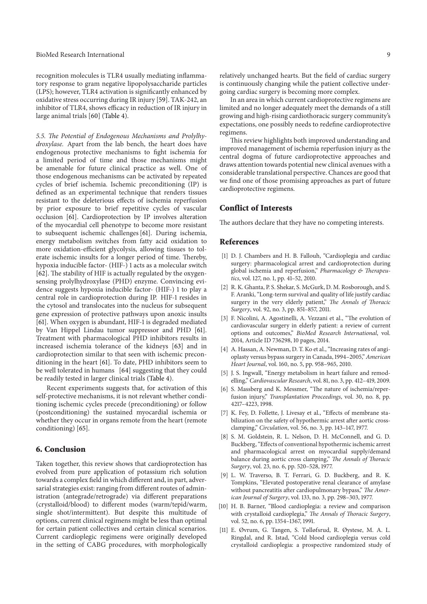recognition molecules is TLR4 usually mediating inflammatory response to gram negative lipopolysaccharide particles (LPS); however, TLR4 activation is significantly enhanced by oxidative stress occurring during IR injury [59]. TAK-242, an inhibitor of TLR4, shows efficacy in reduction of IR injury in large animal trials [60] (Table 4).

5.5. The Potential of Endogenous Mechanisms and Prolylhy*droxylase.* Apart from the lab bench, the heart does have endogenous protective mechanisms to fight ischemia for a limited period of time and those mechanisms might be amenable for future clinical practice as well. One of those endogenous mechanisms can be activated by repeated cycles of brief ischemia. Ischemic preconditioning (IP) is defined as an experimental technique that renders tissues resistant to the deleterious effects of ischemia reperfusion by prior exposure to brief repetitive cycles of vascular occlusion [61]. Cardioprotection by IP involves alteration of the myocardial cell phenotype to become more resistant to subsequent ischemic challenges [61]. During ischemia, energy metabolism switches from fatty acid oxidation to more oxidation-efficient glycolysis, allowing tissues to tolerate ischemic insults for a longer period of time. Thereby, hypoxia inducible factor- (HIF-) 1 acts as a molecular switch [62]. The stability of HIF is actually regulated by the oxygensensing prolylhydroxylase (PHD) enzyme. Convincing evidence suggests hypoxia inducible factor- (HIF-) 1 to play a central role in cardioprotection during IP. HIF-1 resides in the cytosol and translocates into the nucleus for subsequent gene expression of protective pathways upon anoxic insults [61]. When oxygen is abundant, HIF-1 is degraded mediated by Van Hippel Lindau tumor suppressor and PHD [61]. Treatment with pharmacological PHD inhibitors results in increased ischemia tolerance of the kidneys [63] and in cardioprotection similar to that seen with ischemic preconditioning in the heart [61]. To date, PHD inhibitors seem to be well tolerated in humans [64] suggesting that they could be readily tested in larger clinical trials (Table 4).

Recent experiments suggests that, for activation of this self-protective mechanisms, it is not relevant whether conditioning ischemic cycles precede (preconditioning) or follow (postconditioning) the sustained myocardial ischemia or whether they occur in organs remote from the heart (remote conditioning) [65].

#### 6. Conclusion

Taken together, this review shows that cardioprotection has evolved from pure application of potassium rich solution towards a complex field in which different and, in part, adversarial strategies exist: ranging from different routes of administration (antegrade/retrograde) via different preparations (crystalloid/blood) to different modes (warm/tepid/warm, single shot/intermittent). But despite this multitude of options, current clinical regimens might be less than optimal for certain patient collectives and certain clinical scenarios. Current cardioplegic regimens were originally developed in the setting of CABG procedures, with morphologically

In an area in which current cardioprotective regimens are limited and no longer adequately meet the demands of a still growing and high-rising cardiothoracic surgery community's expectations, one possibly needs to redefine cardioprotective regimens.

This review highlights both improved understanding and improved management of ischemia reperfusion injury as the central dogma of future cardioprotective approaches and draws attention towards potential new clinical avenues with a considerable translational perspective. Chances are good that we find one of those promising approaches as part of future cardioprotective regimens.

### Conflict of Interests

The authors declare that they have no competing interests.

#### References

- [1] D. J. Chambers and H. B. Fallouh, "Cardioplegia and cardiac surgery: pharmacological arrest and cardioprotection during global ischemia and reperfusion," *Pharmacology & Therapeutics*, vol. 127, no. 1, pp. 41–52, 2010.
- [2] R. K. Ghanta, P. S. Shekar, S. McGurk, D. M. Rosborough, and S. F. Aranki, "Long-term survival and quality of life justify cardiac surgery in the very elderly patient," *The Annals of Thoracic Surgery*, vol. 92, no. 3, pp. 851–857, 2011.
- [3] F. Nicolini, A. Agostinelli, A. Vezzani et al., "The evolution of cardiovascular surgery in elderly patient: a review of current options and outcomes," *BioMed Research International*, vol. 2014, Article ID 736298, 10 pages, 2014.
- [4] A. Hassan, A. Newman, D. T. Ko et al., "Increasing rates of angioplasty versus bypass surgery in Canada, 1994–2005," *American Heart Journal*, vol. 160, no. 5, pp. 958–965, 2010.
- [5] J. S. Ingwall, "Energy metabolism in heart failure and remodelling," *Cardiovascular Research*, vol. 81, no. 3, pp. 412–419, 2009.
- [6] S. Massberg and K. Messmer, "The nature of ischemia/reperfusion injury," *Transplantation Proceedings*, vol. 30, no. 8, pp. 4217–4223, 1998.
- [7] K. Fey, D. Follette, J. Livesay et al., "Effects of membrane stabilization on the safety of hypothermic arrest after aortic crossclamping," *Circulation*, vol. 56, no. 3, pp. 143–147, 1977.
- [8] S. M. Goldstein, R. L. Nelson, D. H. McConnell, and G. D. Buckberg, "Effects of conventional hypothermic ischemic arrest and pharmacological arrest on myocardial supply/demand balance during aortic cross clamping," *The Annals of Thoracic Surgery*, vol. 23, no. 6, pp. 520–528, 1977.
- [9] L. W. Traverso, B. T. Ferrari, G. D. Buckberg, and R. K. Tompkins, "Elevated postoperative renal clearance of amylase without pancreatitis after cardiopulmonary bypass," The Amer*ican Journal of Surgery*, vol. 133, no. 3, pp. 298–303, 1977.
- [10] H. B. Barner, "Blood cardioplegia: a review and comparison with crystalloid cardioplegia," *The Annals of Thoracic Surgery*, vol. 52, no. 6, pp. 1354–1367, 1991.
- [11] E. Øvrum, G. Tangen, S. Tølløfsrud, R. Øystese, M. A. L. Ringdal, and R. Istad, "Cold blood cardioplegia versus cold crystalloid cardioplegia: a prospective randomized study of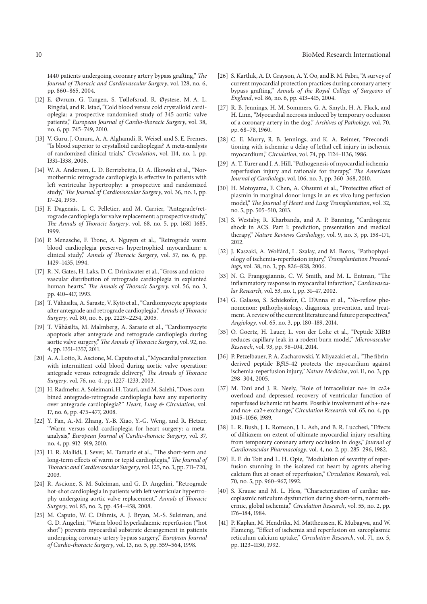1440 patients undergoing coronary artery bypass grafting," The *Journal of Thoracic and Cardiovascular Surgery*, vol. 128, no. 6, pp. 860–865, 2004.

- [12] E. Øvrum, G. Tangen, S. Tølløfsrud, R. Øystese, M.-A. L. Ringdal, and R. Istad, "Cold blood versus cold crystalloid cardioplegia: a prospective randomised study of 345 aortic valve patients," *European Journal of Cardio-thoracic Surgery*, vol. 38, no. 6, pp. 745–749, 2010.
- [13] V. Guru, J. Omura, A. A. Alghamdi, R. Weisel, and S. E. Fremes, "Is blood superior to crystalloid cardioplegia? A meta-analysis of randomized clinical trials," *Circulation*, vol. 114, no. 1, pp. I331–I338, 2006.
- [14] W. A. Anderson, L. D. Berrizbeitia, D. A. Ilkowski et al., "Normothermic retrograde cardioplegia is effective in patients with left ventricular hypertrophy: a prospective and randomized study," The Journal of Cardiovascular Surgery, vol. 36, no. 1, pp. 17–24, 1995.
- [15] F. Dagenais, L. C. Pelletier, and M. Carrier, "Antegrade/retrograde cardioplegia for valve replacement: a prospective study," )*e Annals of* )*oracic Surgery*, vol. 68, no. 5, pp. 1681–1685, 1999.
- [16] P. Menasche, F. Tronc, A. Nguyen et al., "Retrograde warm blood cardioplegia preserves hypertrophied myocardium: a clinical study," Annals of Thoracic Surgery, vol. 57, no. 6, pp. 1429–1435, 1994.
- [17] R. N. Gates, H. Laks, D. C. Drinkwater et al., "Gross and microvascular distribution of retrograde cardioplegia in explanted human hearts," *The Annals of Thoracic Surgery*, vol. 56, no. 3, pp. 410–417, 1993.
- [18] T. Vähäsilta, A. Saraste, V. Kytö et al., "Cardiomyocyte apoptosis after antegrade and retrograde cardioplegia," Annals of Thoracic *Surgery*, vol. 80, no. 6, pp. 2229–2234, 2005.
- [19] T. Vähäsilta, M. Malmberg, A. Saraste et al., "Cardiomyocyte apoptosis after antegrade and retrograde cardioplegia during aortic valve surgery," *The Annals of Thoracic Surgery*, vol. 92, no. 4, pp. 1351–1357, 2011.
- [20] A. A. Lotto, R. Ascione, M. Caputo et al., "Myocardial protection with intermittent cold blood during aortic valve operation: antegrade versus retrograde delivery," *The Annals of Thoracic Surgery*, vol. 76, no. 4, pp. 1227–1233, 2003.
- [21] H. Radmehr, A. Soleimani, H. Tatari, and M. Salehi, "Does combined antegrade-retrograde cardioplegia have any superiority over antegrade cardioplegia?" *Heart, Lung & Circulation*, vol. 17, no. 6, pp. 475–477, 2008.
- [22] Y. Fan, A.-M. Zhang, Y.-B. Xiao, Y.-G. Weng, and R. Hetzer, "Warm versus cold cardioplegia for heart surgery: a metaanalysis," *European Journal of Cardio-thoracic Surgery*, vol. 37, no. 4, pp. 912–919, 2010.
- [23] H. R. Mallidi, J. Sever, M. Tamariz et al., "The short-term and long-term effects of warm or tepid cardioplegia," The Journal of )*oracic and Cardiovascular Surgery*, vol. 125, no. 3, pp. 711–720, 2003.
- [24] R. Ascione, S. M. Suleiman, and G. D. Angelini, "Retrograde hot-shot cardioplegia in patients with left ventricular hypertrophy undergoing aortic valve replacement," Annals of Thoracic *Surgery*, vol. 85, no. 2, pp. 454–458, 2008.
- [25] M. Caputo, W. C. Dihmis, A. J. Bryan, M.-S. Suleiman, and G. D. Angelini, "Warm blood hyperkalaemic reperfusion ("hot shot") prevents myocardial substrate derangement in patients undergoing coronary artery bypass surgery," *European Journal of Cardio-thoracic Surgery*, vol. 13, no. 5, pp. 559–564, 1998.
- [26] S. Karthik, A. D. Grayson, A. Y. Oo, and B. M. Fabri, "A survey of current myocardial protection practices during coronary artery bypass grafting," Annals of the Royal College of Surgeons of *England*, vol. 86, no. 6, pp. 413–415, 2004.
- [27] R. B. Jennings, H. M. Sommers, G. A. Smyth, H. A. Flack, and H. Linn, "Myocardial necrosis induced by temporary occlusion of a coronary artery in the dog," *Archives of Pathology*, vol. 70, pp. 68–78, 1960.
- [28] C. E. Murry, R. B. Jennings, and K. A. Reimer, "Preconditioning with ischemia: a delay of lethal cell injury in ischemic myocardium," *Circulation*, vol. 74, pp. 1124–1136, 1986.
- [29] A. T. Turer and J. A. Hill, "Pathogenesis of myocardial ischemiareperfusion injury and rationale for therapy," *The American Journal of Cardiology*, vol. 106, no. 3, pp. 360–368, 2010.
- [30] H. Motoyama, F. Chen, A. Ohsumi et al., "Protective effect of plasmin in marginal donor lungs in an ex vivo lung perfusion model," *The Journal of Heart and Lung Transplantation*, vol. 32, no. 5, pp. 505–510, 2013.
- [31] S. Westaby, R. Kharbanda, and A. P. Banning, "Cardiogenic shock in ACS. Part 1: prediction, presentation and medical therapy," *Nature Reviews Cardiology*, vol. 9, no. 3, pp. 158–171, 2012.
- [32] J. Kaszaki, A. Wolfárd, L. Szalay, and M. Boros, "Pathophysiology of ischemia-reperfusion injury," *Transplantation Proceedings*, vol. 38, no. 3, pp. 826–828, 2006.
- [33] N. G. Frangogiannis, C. W. Smith, and M. L. Entman, "The inflammatory response in myocardial infarction," *Cardiovascular Research*, vol. 53, no. 1, pp. 31–47, 2002.
- [34] G. Galasso, S. Schiekofer, C. D'Anna et al., "No-reflow phenomenon: pathophysiology, diagnosis, prevention, and treatment. A review of the current literature and future perspectives," *Angiology*, vol. 65, no. 3, pp. 180–189, 2014.
- [35] O. Goertz, H. Lauer, L. von der Lohe et al., "Peptide XIB13 reduces capillary leak in a rodent burn model," *Microvascular Research*, vol. 93, pp. 98–104, 2014.
- [36] P. Petzelbauer, P. A. Zacharowski, Y. Miyazaki et al., "The fibrinderived peptide B $\beta$ 15-42 protects the myocardium against ischemia-reperfusion injury," *Nature Medicine*, vol. 11, no. 3, pp. 298–304, 2005.
- [37] M. Tani and J. R. Neely, "Role of intracellular na+ in ca2+ overload and depressed recovery of ventricular function of reperfused ischemic rat hearts. Possible involvement of h+-na+ and na+-ca2+ exchange," *Circulation Research*, vol. 65, no. 4, pp. 1045–1056, 1989.
- [38] L. R. Bush, J. L. Romson, J. L. Ash, and B. R. Lucchesi, "Effects of diltiazem on extent of ultimate myocardial injury resulting from temporary coronary artery occlusion in dogs," *Journal of Cardiovascular Pharmacology*, vol. 4, no. 2, pp. 285–296, 1982.
- [39] E. F. du Toit and L. H. Opie, "Modulation of severity of reperfusion stunning in the isolated rat heart by agents altering calcium flux at onset of reperfusion," *Circulation Research*, vol. 70, no. 5, pp. 960–967, 1992.
- [40] S. Krause and M. L. Hess, "Characterization of cardiac sarcoplasmic reticulum dysfunction during short-term, normothermic, global ischemia," *Circulation Research*, vol. 55, no. 2, pp. 176–184, 1984.
- [41] P. Kaplan, M. Hendrikx, M. Mattheussen, K. Mubagwa, and W. Flameng, "Effect of ischemia and reperfusion on sarcoplasmic reticulum calcium uptake," *Circulation Research*, vol. 71, no. 5, pp. 1123–1130, 1992.